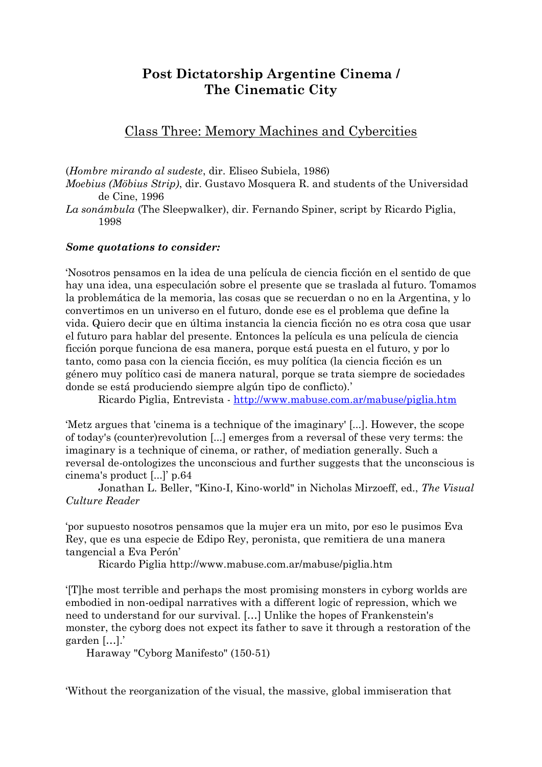## **Post Dictatorship Argentine Cinema / The Cinematic City**

Class Three: Memory Machines and Cybercities

(*Hombre mirando al sudeste*, dir. Eliseo Subiela, 1986) *Moebius (Möbius Strip)*, dir. Gustavo Mosquera R. and students of the Universidad de Cine, 1996 *La sonámbula* (The Sleepwalker), dir. Fernando Spiner, script by Ricardo Piglia, 1998

## *Some quotations to consider:*

'Nosotros pensamos en la idea de una película de ciencia ficción en el sentido de que hay una idea, una especulación sobre el presente que se traslada al futuro. Tomamos la problemática de la memoria, las cosas que se recuerdan o no en la Argentina, y lo convertimos en un universo en el futuro, donde ese es el problema que define la vida. Quiero decir que en última instancia la ciencia ficción no es otra cosa que usar el futuro para hablar del presente. Entonces la película es una película de ciencia ficción porque funciona de esa manera, porque está puesta en el futuro, y por lo tanto, como pasa con la ciencia ficción, es muy política (la ciencia ficción es un género muy político casi de manera natural, porque se trata siempre de sociedades donde se está produciendo siempre algún tipo de conflicto).'

Ricardo Piglia, Entrevista - <http://www.mabuse.com.ar/mabuse/piglia.htm>

'Metz argues that 'cinema is a technique of the imaginary' [...]. However, the scope of today's (counter)revolution [...] emerges from a reversal of these very terms: the imaginary is a technique of cinema, or rather, of mediation generally. Such a reversal de-ontologizes the unconscious and further suggests that the unconscious is cinema's product [...]' p.64

Jonathan L. Beller, "Kino-I, Kino-world" in Nicholas Mirzoeff, ed., *The Visual Culture Reader*

'por supuesto nosotros pensamos que la mujer era un mito, por eso le pusimos Eva Rey, que es una especie de Edipo Rey, peronista, que remitiera de una manera tangencial a Eva Perón'

Ricardo Piglia http://www.mabuse.com.ar/mabuse/piglia.htm

'[T]he most terrible and perhaps the most promising monsters in cyborg worlds are embodied in non-oedipal narratives with a different logic of repression, which we need to understand for our survival. […] Unlike the hopes of Frankenstein's monster, the cyborg does not expect its father to save it through a restoration of the garden […].'

Haraway "Cyborg Manifesto" (150-51)

'Without the reorganization of the visual, the massive, global immiseration that